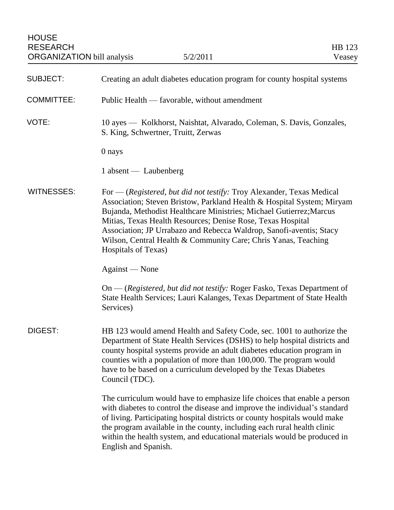| <b>SUBJECT:</b>   | Creating an adult diabetes education program for county hospital systems                                                                                                                                                                                                                                                                                                                                                                              |
|-------------------|-------------------------------------------------------------------------------------------------------------------------------------------------------------------------------------------------------------------------------------------------------------------------------------------------------------------------------------------------------------------------------------------------------------------------------------------------------|
| <b>COMMITTEE:</b> | Public Health — favorable, without amendment                                                                                                                                                                                                                                                                                                                                                                                                          |
| VOTE:             | 10 ayes — Kolkhorst, Naishtat, Alvarado, Coleman, S. Davis, Gonzales,<br>S. King, Schwertner, Truitt, Zerwas                                                                                                                                                                                                                                                                                                                                          |
|                   | 0 nays                                                                                                                                                                                                                                                                                                                                                                                                                                                |
|                   | 1 absent — Laubenberg                                                                                                                                                                                                                                                                                                                                                                                                                                 |
| WITNESSES:        | For — (Registered, but did not testify: Troy Alexander, Texas Medical<br>Association; Steven Bristow, Parkland Health & Hospital System; Miryam<br>Bujanda, Methodist Healthcare Ministries; Michael Gutierrez; Marcus<br>Mitias, Texas Health Resources; Denise Rose, Texas Hospital<br>Association; JP Urrabazo and Rebecca Waldrop, Sanofi-aventis; Stacy<br>Wilson, Central Health & Community Care; Chris Yanas, Teaching<br>Hospitals of Texas) |
|                   | Against — None                                                                                                                                                                                                                                                                                                                                                                                                                                        |
|                   | On — (Registered, but did not testify: Roger Fasko, Texas Department of<br>State Health Services; Lauri Kalanges, Texas Department of State Health<br>Services)                                                                                                                                                                                                                                                                                       |
| DIGEST:           | HB 123 would amend Health and Safety Code, sec. 1001 to authorize the<br>Department of State Health Services (DSHS) to help hospital districts and<br>county hospital systems provide an adult diabetes education program in<br>counties with a population of more than 100,000. The program would<br>have to be based on a curriculum developed by the Texas Diabetes<br>Council (TDC).                                                              |
|                   | The curriculum would have to emphasize life choices that enable a person<br>with diabetes to control the disease and improve the individual's standard<br>of living. Participating hospital districts or county hospitals would make<br>the program available in the county, including each rural health clinic<br>within the health system, and educational materials would be produced in<br>English and Spanish.                                   |